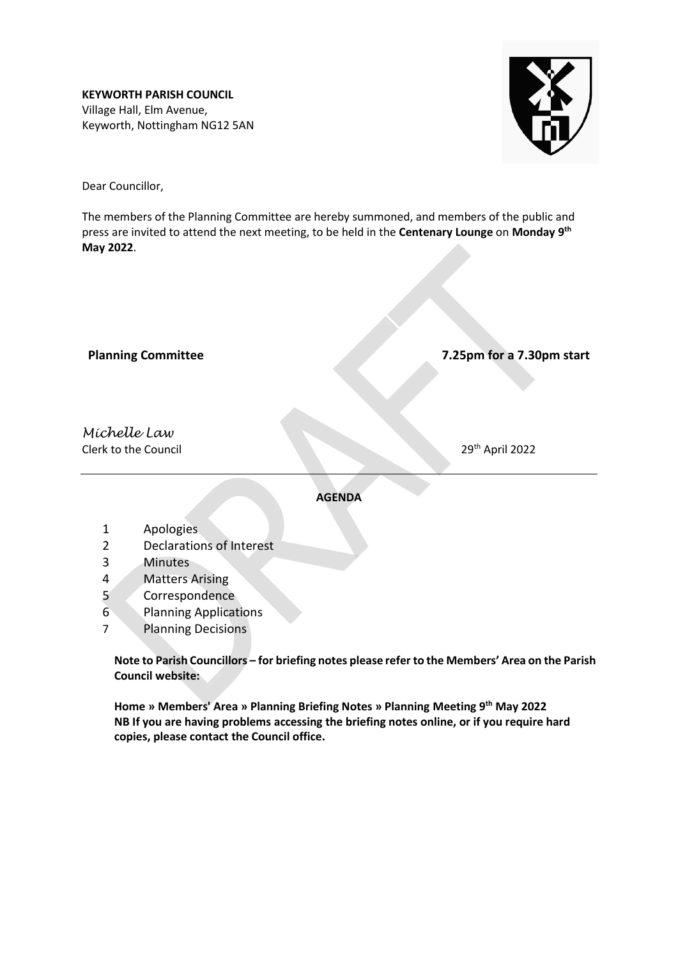**KEYWORTH PARISH COUNCIL** Village Hall, Elm Avenue, Keyworth, Nottingham NG12 5AN



Dear Councillor,

The members of the Planning Committee are hereby summoned, and members of the public and press are invited to attend the next meeting, to be held in the **Centenary Lounge** on **Monday 9 th May 2022**.

**Planning Committee 7.25pm for a 7.30pm start**

# *Michelle Law* Clerk to the Council

29<sup>th</sup> April 2022

**AGENDA**

- 1 Apologies
- 2 Declarations of Interest
- 3 Minutes
- 4 Matters Arising
- 5 Correspondence
- 6 Planning Applications
- 7 Planning Decisions

**Note to Parish Councillors – for briefing notes please refer to the Members' Area on the Parish Council website:**

**Home » Members' Area » Planning Briefing Notes » Planning Meeting 9 th May 2022 NB If you are having problems accessing the briefing notes online, or if you require hard copies, please contact the Council office.**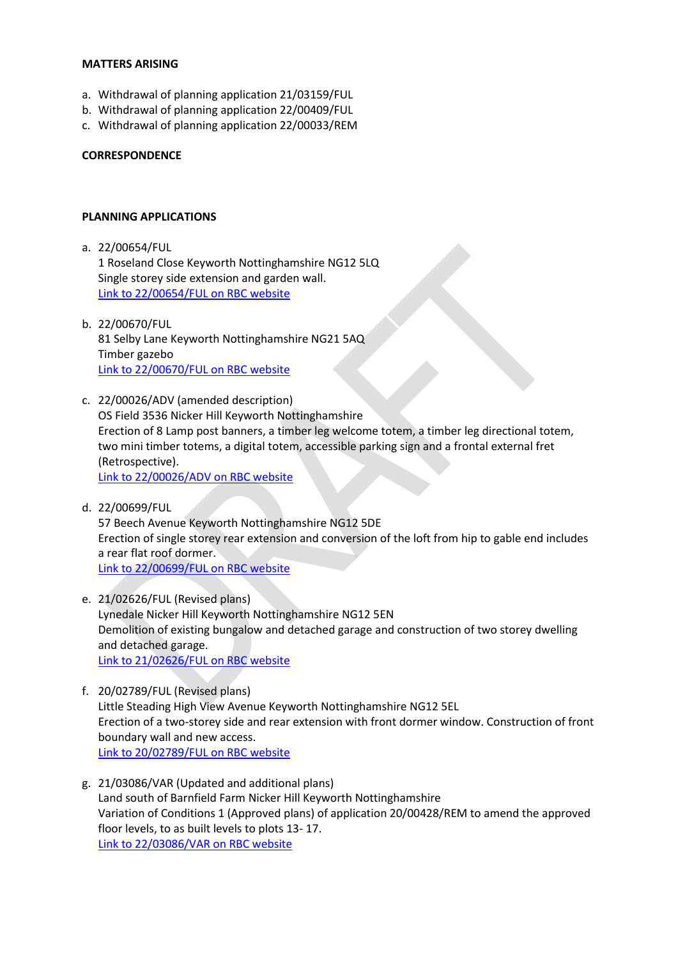#### **MATTERS ARISING**

- a. Withdrawal of planning application 21/03159/FUL
- b. Withdrawal of planning application 22/00409/FUL
- c. Withdrawal of planning application 22/00033/REM

#### **CORRESPONDENCE**

#### **PLANNING APPLICATIONS**

a. 22/00654/FUL 1 Roseland Close Keyworth Nottinghamshire NG12 5LQ

Single storey side extension and garden wall. [Link to 22/00654/FUL on RBC website](https://planningon-line.rushcliffe.gov.uk/online-applications/applicationDetails.do?activeTab=documents&keyVal=R9N9Y1NLJOH00)

- b. 22/00670/FUL 81 Selby Lane Keyworth Nottinghamshire NG21 5AQ Timber gazebo [Link to 22/00670/FUL on RBC website](https://planningon-line.rushcliffe.gov.uk/online-applications/applicationDetails.do?activeTab=documents&keyVal=R9T5MBNL0CX00)
- c. 22/00026/ADV (amended description) OS Field 3536 Nicker Hill Keyworth Nottinghamshire Erection of 8 Lamp post banners, a timber leg welcome totem, a timber leg directional totem, two mini timber totems, a digital totem, accessible parking sign and a frontal external fret (Retrospective). [Link to 22/00026/ADV on RBC website](https://planningon-line.rushcliffe.gov.uk/online-applications/applicationDetails.do?activeTab=documents&keyVal=R5BSOENLIJO00)
- d. 22/00699/FUL 57 Beech Avenue Keyworth Nottinghamshire NG12 5DE Erection of single storey rear extension and conversion of the loft from hip to gable end includes a rear flat roof dormer. [Link to 22/00699/FUL on RBC website](https://planningon-line.rushcliffe.gov.uk/online-applications/applicationDetails.do?activeTab=documents&keyVal=RA08LZNLJRK00)
- e. 21/02626/FUL (Revised plans) Lynedale Nicker Hill Keyworth Nottinghamshire NG12 5EN Demolition of existing bungalow and detached garage and construction of two storey dwelling and detached garage. [Link to 21/02626/FUL on RBC website](https://planningon-line.rushcliffe.gov.uk/online-applications/applicationDetails.do?activeTab=documents&keyVal=QZM5YMNLH6S00)
- f. 20/02789/FUL (Revised plans) Little Steading High View Avenue Keyworth Nottinghamshire NG12 5EL Erection of a two-storey side and rear extension with front dormer window. Construction of front boundary wall and new access. [Link to 20/02789/FUL on RBC website](https://planningon-line.rushcliffe.gov.uk/online-applications/applicationDetails.do?activeTab=documents&keyVal=QJKGQUNLKC700)
- g. 21/03086/VAR (Updated and additional plans) Land south of Barnfield Farm Nicker Hill Keyworth Nottinghamshire Variation of Conditions 1 (Approved plans) of application 20/00428/REM to amend the approved floor levels, to as built levels to plots 13- 17. [Link to 22/03086/VAR on RBC website](https://planningon-line.rushcliffe.gov.uk/online-applications/applicationDetails.do?activeTab=documents&keyVal=R3KU2CNLI5800)